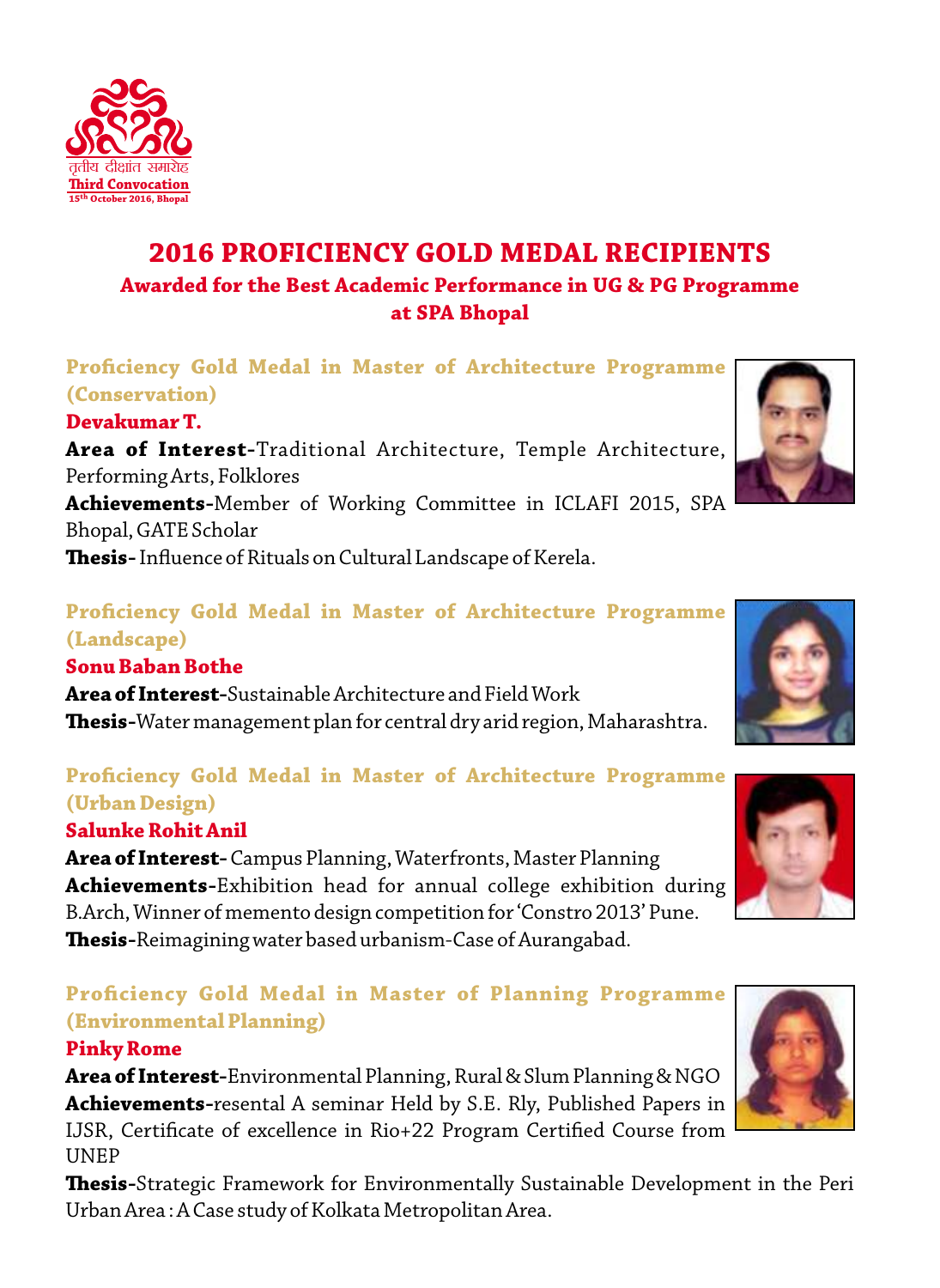

## **Prociency Gold Medal in Master of Architecture Programme (Conservation)**

#### **Devakumar T.**

तृतीय दीक्षांत समारोह **ird Convocation October 2016, Bh** 

**Area of Interest-**Traditional Architecture, Temple Architecture, Performing Arts, Folklores

**Achievements-**Member of Working Committee in ICLAFI 2015, SPA Bhopal, GATE Scholar

**Thesis-** Influence of Rituals on Cultural Landscape of Kerela.

#### **Proficiency Gold Medal in Master of Architecture Programme (Landscape)**

#### **Sonu Baban Bothe**

**Area of Interest-**Sustainable Architecture and Field Work **esis-**Water management plan for central dry arid region, Maharashtra.

## **Prociency Gold Medal in Master of Architecture Programme (Urban Design)**

#### **Salunke Rohit Anil**

**Area of Interest-** Campus Planning, Waterfronts, Master Planning **Achievements-**Exhibition head for annual college exhibition during B.Arch, Winner of memento design competition for 'Constro 2013' Pune. **Thesis-**Reimagining water based urbanism-Case of Aurangabad.

## **Proficiency Gold Medal in Master of Planning Programme (Environmental Planning)**

#### **Pinky Rome**

**Area of Interest-**Environmental Planning, Rural & Slum Planning & NGO **Achievements-**resental A seminar Held by S.E. Rly, Published Papers in IJSR, Certificate of excellence in Rio+22 Program Certified Course from UNEP

**Thesis-**Strategic Framework for Environmentally Sustainable Development in the Peri Urban Area : A Case study of Kolkata Metropolitan Area.